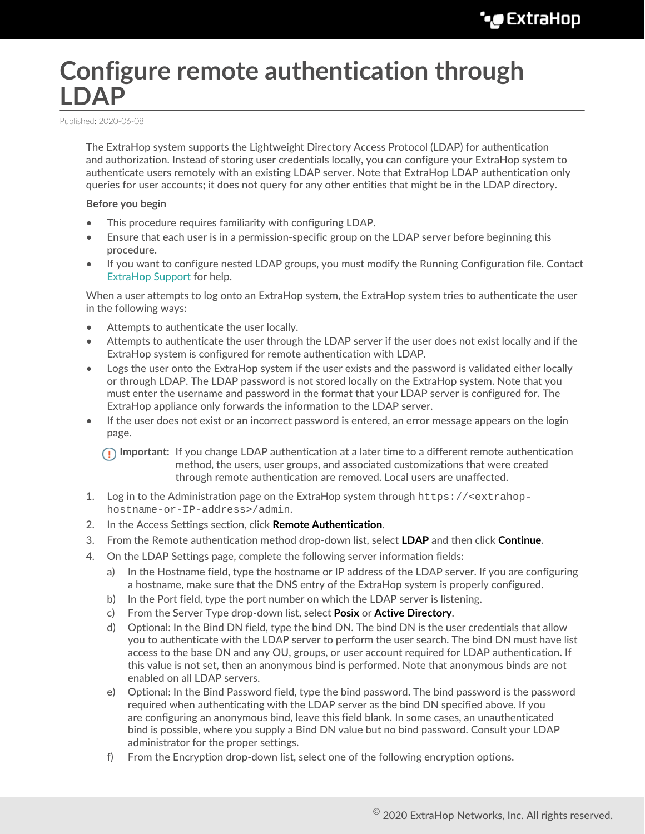# **Configure remote authentication through LDAP**

Published: 2020-06-08

The ExtraHop system supports the Lightweight Directory Access Protocol (LDAP) for authentication and authorization. Instead of storing user credentials locally, you can configure your ExtraHop system to authenticate users remotely with an existing LDAP server. Note that ExtraHop LDAP authentication only queries for user accounts; it does not query for any other entities that might be in the LDAP directory.

#### **Before you begin**

- This procedure requires familiarity with configuring LDAP.
- Ensure that each user is in a permission-specific group on the LDAP server before beginning this procedure.
- If you want to configure nested LDAP groups, you must modify the Running Configuration file. Contact [ExtraHop Support](mailto:support@extrahop.com) for help.

When a user attempts to log onto an ExtraHop system, the ExtraHop system tries to authenticate the user in the following ways:

- Attempts to authenticate the user locally.
- Attempts to authenticate the user through the LDAP server if the user does not exist locally and if the ExtraHop system is configured for remote authentication with LDAP.
- Logs the user onto the ExtraHop system if the user exists and the password is validated either locally or through LDAP. The LDAP password is not stored locally on the ExtraHop system. Note that you must enter the username and password in the format that your LDAP server is configured for. The ExtraHop appliance only forwards the information to the LDAP server.
- If the user does not exist or an incorrect password is entered, an error message appears on the login page.

**Important:** If you change LDAP authentication at a later time to a different remote authentication method, the users, user groups, and associated customizations that were created through remote authentication are removed. Local users are unaffected.

- 1. Log in to the Administration page on the ExtraHop system through https://<extrahophostname-or-IP-address>/admin.
- 2. In the Access Settings section, click **Remote Authentication**.
- 3. From the Remote authentication method drop-down list, select **LDAP** and then click **Continue**.
- 4. On the LDAP Settings page, complete the following server information fields:
	- a) In the Hostname field, type the hostname or IP address of the LDAP server. If you are configuring a hostname, make sure that the DNS entry of the ExtraHop system is properly configured.
	- b) In the Port field, type the port number on which the LDAP server is listening.
	- c) From the Server Type drop-down list, select **Posix** or **Active Directory**.
	- d) Optional: In the Bind DN field, type the bind DN. The bind DN is the user credentials that allow you to authenticate with the LDAP server to perform the user search. The bind DN must have list access to the base DN and any OU, groups, or user account required for LDAP authentication. If this value is not set, then an anonymous bind is performed. Note that anonymous binds are not enabled on all LDAP servers.
	- e) Optional: In the Bind Password field, type the bind password. The bind password is the password required when authenticating with the LDAP server as the bind DN specified above. If you are configuring an anonymous bind, leave this field blank. In some cases, an unauthenticated bind is possible, where you supply a Bind DN value but no bind password. Consult your LDAP administrator for the proper settings.
	- f) From the Encryption drop-down list, select one of the following encryption options.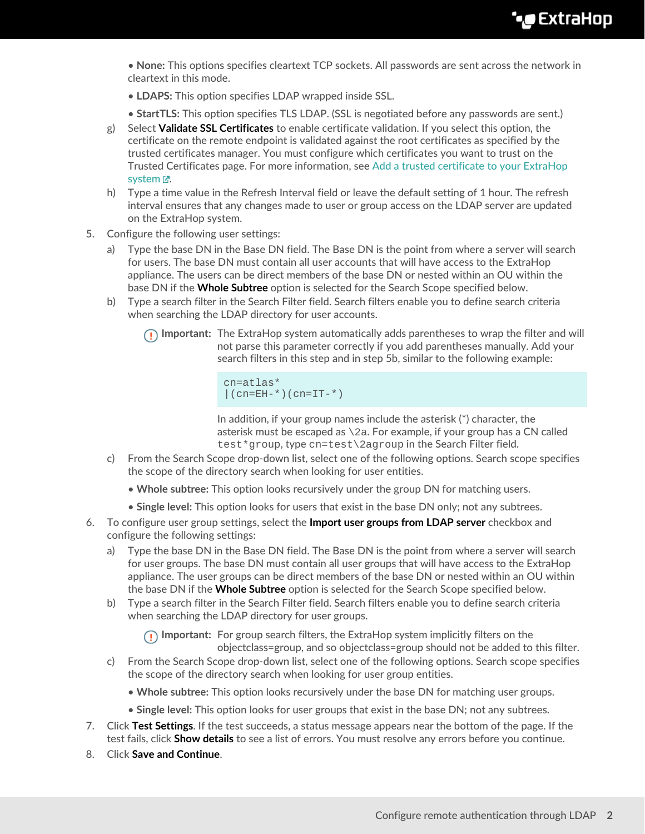- **None:** This options specifies cleartext TCP sockets. All passwords are sent across the network in cleartext in this mode.
- **LDAPS:** This option specifies LDAP wrapped inside SSL.
- **StartTLS:** This option specifies TLS LDAP. (SSL is negotiated before any passwords are sent.)
- g) Select **Validate SSL Certificates** to enable certificate validation. If you select this option, the certificate on the remote endpoint is validated against the root certificates as specified by the trusted certificates manager. You must configure which certificates you want to trust on the Trusted Certificates page. For more information, see [Add a trusted certificate to your ExtraHop](https://docs.extrahop.com/8.1/trusted-certificate) system  $\mathbb{Z}$ .
- h) Type a time value in the Refresh Interval field or leave the default setting of 1 hour. The refresh interval ensures that any changes made to user or group access on the LDAP server are updated on the ExtraHop system.
- 5. Configure the following user settings:
	- a) Type the base DN in the Base DN field. The Base DN is the point from where a server will search for users. The base DN must contain all user accounts that will have access to the ExtraHop appliance. The users can be direct members of the base DN or nested within an OU within the base DN if the **Whole Subtree** option is selected for the Search Scope specified below.
	- b) Type a search filter in the Search Filter field. Search filters enable you to define search criteria when searching the LDAP directory for user accounts.
		- **Important:** The ExtraHop system automatically adds parentheses to wrap the filter and will not parse this parameter correctly if you add parentheses manually. Add your search filters in this step and in step 5b, similar to the following example:

```
cn=atlas*
| (cn=EH-*)(cn=IT-*)
```
In addition, if your group names include the asterisk (\*) character, the asterisk must be escaped as  $\setminus$ 2a. For example, if your group has a CN called test\*group, type cn=test\2agroup in the Search Filter field.

- c) From the Search Scope drop-down list, select one of the following options. Search scope specifies the scope of the directory search when looking for user entities.
	- **Whole subtree:** This option looks recursively under the group DN for matching users.
	- **Single level:** This option looks for users that exist in the base DN only; not any subtrees.
- 6. To configure user group settings, select the **Import user groups from LDAP server** checkbox and configure the following settings:
	- a) Type the base DN in the Base DN field. The Base DN is the point from where a server will search for user groups. The base DN must contain all user groups that will have access to the ExtraHop appliance. The user groups can be direct members of the base DN or nested within an OU within the base DN if the **Whole Subtree** option is selected for the Search Scope specified below.
	- b) Type a search filter in the Search Filter field. Search filters enable you to define search criteria when searching the LDAP directory for user groups.

**Important:** For group search filters, the ExtraHop system implicitly filters on the objectclass=group, and so objectclass=group should not be added to this filter.

- c) From the Search Scope drop-down list, select one of the following options. Search scope specifies the scope of the directory search when looking for user group entities.
	- **Whole subtree:** This option looks recursively under the base DN for matching user groups.
	- **Single level:** This option looks for user groups that exist in the base DN; not any subtrees.
- 7. Click **Test Settings**. If the test succeeds, a status message appears near the bottom of the page. If the test fails, click **Show details** to see a list of errors. You must resolve any errors before you continue.
- 8. Click **Save and Continue**.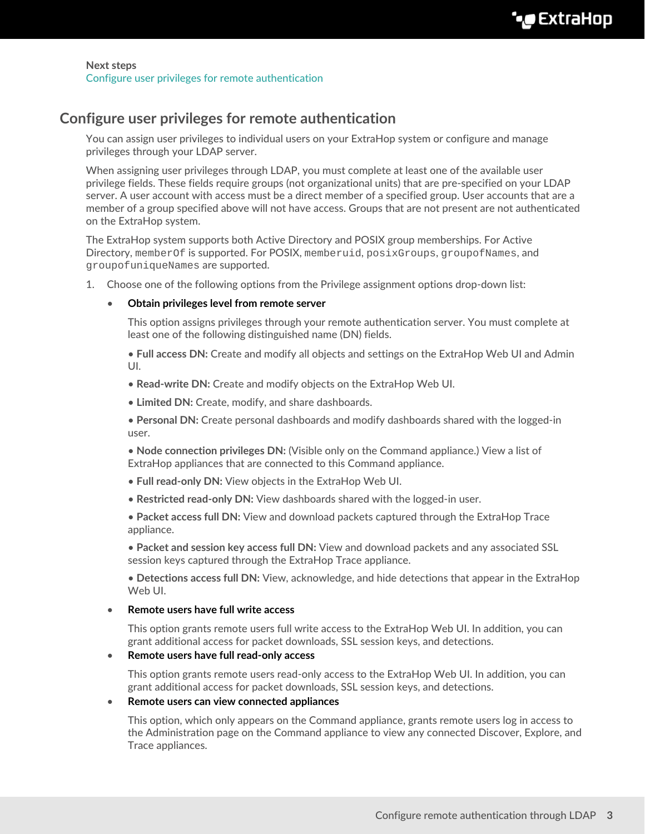# <span id="page-2-0"></span>**Configure user privileges for remote authentication**

You can assign user privileges to individual users on your ExtraHop system or configure and manage privileges through your LDAP server.

When assigning user privileges through LDAP, you must complete at least one of the available user privilege fields. These fields require groups (not organizational units) that are pre-specified on your LDAP server. A user account with access must be a direct member of a specified group. User accounts that are a member of a group specified above will not have access. Groups that are not present are not authenticated on the ExtraHop system.

The ExtraHop system supports both Active Directory and POSIX group memberships. For Active Directory, memberOf is supported. For POSIX, memberuid, posixGroups, groupofNames, and groupofuniqueNames are supported.

1. Choose one of the following options from the Privilege assignment options drop-down list:

### • **Obtain privileges level from remote server**

This option assigns privileges through your remote authentication server. You must complete at least one of the following distinguished name (DN) fields.

• **Full access DN:** Create and modify all objects and settings on the ExtraHop Web UI and Admin UI.

- **Read-write DN:** Create and modify objects on the ExtraHop Web UI.
- **Limited DN:** Create, modify, and share dashboards.

• **Personal DN:** Create personal dashboards and modify dashboards shared with the logged-in user.

• **Node connection privileges DN:** (Visible only on the Command appliance.) View a list of ExtraHop appliances that are connected to this Command appliance.

- **Full read-only DN:** View objects in the ExtraHop Web UI.
- **Restricted read-only DN:** View dashboards shared with the logged-in user.

• **Packet access full DN:** View and download packets captured through the ExtraHop Trace appliance.

• **Packet and session key access full DN:** View and download packets and any associated SSL session keys captured through the ExtraHop Trace appliance.

• **Detections access full DN:** View, acknowledge, and hide detections that appear in the ExtraHop Web UI.

## • **Remote users have full write access**

This option grants remote users full write access to the ExtraHop Web UI. In addition, you can grant additional access for packet downloads, SSL session keys, and detections.

### • **Remote users have full read-only access**

This option grants remote users read-only access to the ExtraHop Web UI. In addition, you can grant additional access for packet downloads, SSL session keys, and detections.

#### • **Remote users can view connected appliances**

This option, which only appears on the Command appliance, grants remote users log in access to the Administration page on the Command appliance to view any connected Discover, Explore, and Trace appliances.